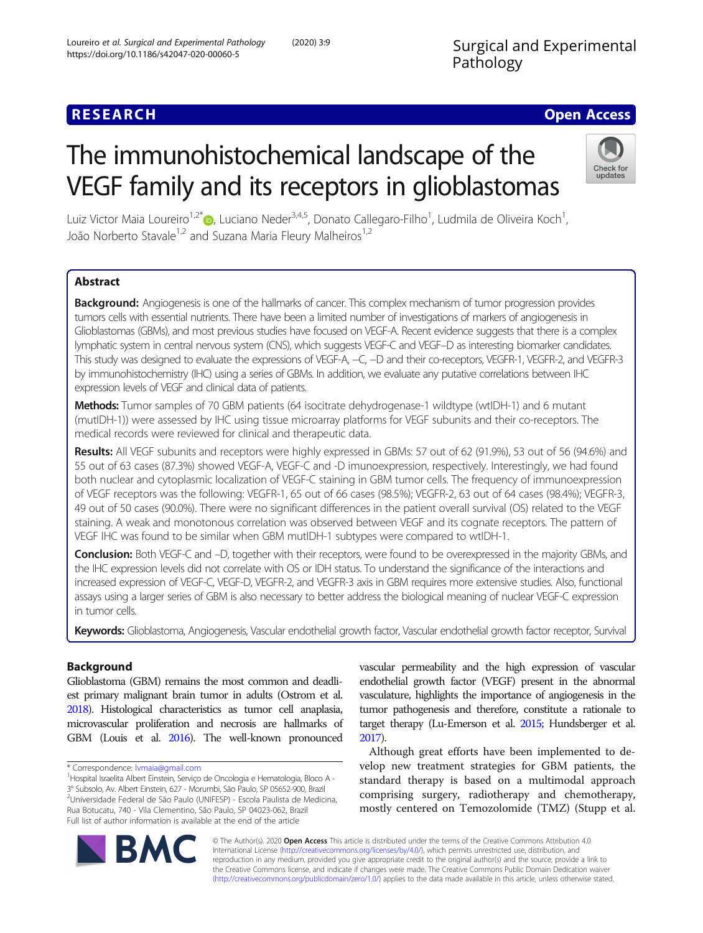# **RESEARCH CHEAR CHEAR CHEAR CHEAR CHEAR CHEAR CHEAR CHEAR CHEAR CHEAR CHEAR CHEAR CHEAR CHEAR CHEAR CHEAR CHEAR**

# The immunohistochemical landscape of the VEGF family and its receptors in glioblastomas



Luiz Victor Maia Loureiro<sup>1,2[\\*](http://orcid.org/0000-0001-6433-1624)</sup>®, Luciano Neder<sup>3,4,5</sup>, Donato Callegaro-Filho<sup>1</sup>, Ludmila de Oliveira Koch<sup>1</sup> , João Norberto Stavale<sup>1,2</sup> and Suzana Maria Fleury Malheiros<sup>1,2</sup>

# Abstract

Background: Angiogenesis is one of the hallmarks of cancer. This complex mechanism of tumor progression provides tumors cells with essential nutrients. There have been a limited number of investigations of markers of angiogenesis in Glioblastomas (GBMs), and most previous studies have focused on VEGF-A. Recent evidence suggests that there is a complex lymphatic system in central nervous system (CNS), which suggests VEGF-C and VEGF–D as interesting biomarker candidates. This study was designed to evaluate the expressions of VEGF-A, −C, −D and their co-receptors, VEGFR-1, VEGFR-2, and VEGFR-3 by immunohistochemistry (IHC) using a series of GBMs. In addition, we evaluate any putative correlations between IHC expression levels of VEGF and clinical data of patients.

Methods: Tumor samples of 70 GBM patients (64 isocitrate dehydrogenase-1 wildtype (wtIDH-1) and 6 mutant (mutIDH-1)) were assessed by IHC using tissue microarray platforms for VEGF subunits and their co-receptors. The medical records were reviewed for clinical and therapeutic data.

Results: All VEGF subunits and receptors were highly expressed in GBMs: 57 out of 62 (91.9%), 53 out of 56 (94.6%) and 55 out of 63 cases (87.3%) showed VEGF-A, VEGF-C and -D imunoexpression, respectively. Interestingly, we had found both nuclear and cytoplasmic localization of VEGF-C staining in GBM tumor cells. The frequency of immunoexpression of VEGF receptors was the following: VEGFR-1, 65 out of 66 cases (98.5%); VEGFR-2, 63 out of 64 cases (98.4%); VEGFR-3, 49 out of 50 cases (90.0%). There were no significant differences in the patient overall survival (OS) related to the VEGF staining. A weak and monotonous correlation was observed between VEGF and its cognate receptors. The pattern of VEGF IHC was found to be similar when GBM mutIDH-1 subtypes were compared to wtIDH-1.

Conclusion: Both VEGF-C and -D, together with their receptors, were found to be overexpressed in the majority GBMs, and the IHC expression levels did not correlate with OS or IDH status. To understand the significance of the interactions and increased expression of VEGF-C, VEGF-D, VEGFR-2, and VEGFR-3 axis in GBM requires more extensive studies. Also, functional assays using a larger series of GBM is also necessary to better address the biological meaning of nuclear VEGF-C expression in tumor cells.

Keywords: Glioblastoma, Angiogenesis, Vascular endothelial growth factor, Vascular endothelial growth factor receptor, Survival

# Background

Glioblastoma (GBM) remains the most common and deadliest primary malignant brain tumor in adults (Ostrom et al. [2018\)](#page-7-0). Histological characteristics as tumor cell anaplasia, microvascular proliferation and necrosis are hallmarks of GBM (Louis et al. [2016\)](#page-7-0). The well-known pronounced

vascular permeability and the high expression of vascular endothelial growth factor (VEGF) present in the abnormal vasculature, highlights the importance of angiogenesis in the tumor pathogenesis and therefore, constitute a rationale to target therapy (Lu-Emerson et al. [2015;](#page-7-0) Hundsberger et al. [2017\)](#page-7-0).

Although great efforts have been implemented to develop new treatment strategies for GBM patients, the standard therapy is based on a multimodal approach comprising surgery, radiotherapy and chemotherapy, mostly centered on Temozolomide (TMZ) (Stupp et al.



© The Author(s). 2020 Open Access This article is distributed under the terms of the Creative Commons Attribution 4.0 International License [\(http://creativecommons.org/licenses/by/4.0/](http://creativecommons.org/licenses/by/4.0/)), which permits unrestricted use, distribution, and reproduction in any medium, provided you give appropriate credit to the original author(s) and the source, provide a link to the Creative Commons license, and indicate if changes were made. The Creative Commons Public Domain Dedication waiver [\(http://creativecommons.org/publicdomain/zero/1.0/](http://creativecommons.org/publicdomain/zero/1.0/)) applies to the data made available in this article, unless otherwise stated.

<sup>\*</sup> Correspondence: [lvmaia@gmail.com](mailto:lvmaia@gmail.com) <sup>1</sup>

Hospital Israelita Albert Einstein, Serviço de Oncologia e Hematologia, Bloco A - 3° Subsolo, Av. Albert Einstein, 627 - Morumbi, São Paulo, SP 05652-900, Brazil <sup>2</sup>Universidade Federal de São Paulo (UNIFESP) - Escola Paulista de Medicina, Rua Botucatu, 740 - Vila Clementino, São Paulo, SP 04023-062, Brazil Full list of author information is available at the end of the article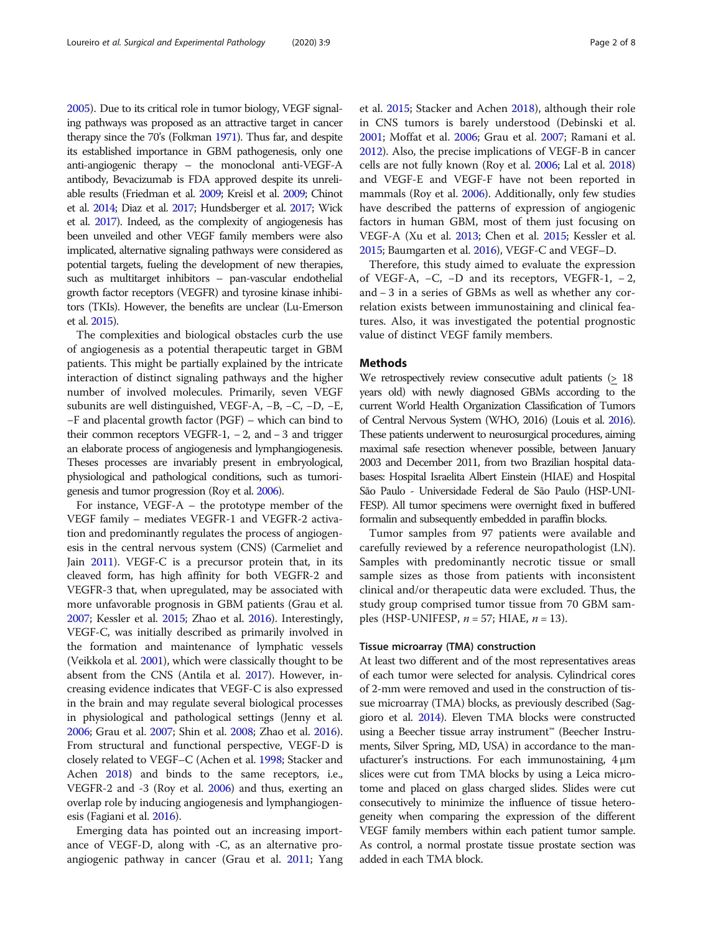[2005](#page-7-0)). Due to its critical role in tumor biology, VEGF signaling pathways was proposed as an attractive target in cancer therapy since the 70's (Folkman [1971\)](#page-7-0). Thus far, and despite its established importance in GBM pathogenesis, only one anti-angiogenic therapy – the monoclonal anti-VEGF-A antibody, Bevacizumab is FDA approved despite its unreliable results (Friedman et al. [2009](#page-7-0); Kreisl et al. [2009](#page-7-0); Chinot et al. [2014](#page-7-0); Diaz et al. [2017](#page-7-0); Hundsberger et al. [2017](#page-7-0); Wick et al. [2017\)](#page-7-0). Indeed, as the complexity of angiogenesis has been unveiled and other VEGF family members were also implicated, alternative signaling pathways were considered as potential targets, fueling the development of new therapies, such as multitarget inhibitors – pan-vascular endothelial growth factor receptors (VEGFR) and tyrosine kinase inhibitors (TKIs). However, the benefits are unclear (Lu-Emerson et al. [2015\)](#page-7-0).

The complexities and biological obstacles curb the use of angiogenesis as a potential therapeutic target in GBM patients. This might be partially explained by the intricate interaction of distinct signaling pathways and the higher number of involved molecules. Primarily, seven VEGF subunits are well distinguished, VEGF-A, −B, −C, −D, −E, −F and placental growth factor (PGF) – which can bind to their common receptors VEGFR-1,  $-2$ , and  $-3$  and trigger an elaborate process of angiogenesis and lymphangiogenesis. Theses processes are invariably present in embryological, physiological and pathological conditions, such as tumorigenesis and tumor progression (Roy et al. [2006\)](#page-7-0).

For instance, VEGF-A – the prototype member of the VEGF family – mediates VEGFR-1 and VEGFR-2 activation and predominantly regulates the process of angiogenesis in the central nervous system (CNS) (Carmeliet and Jain [2011](#page-7-0)). VEGF-C is a precursor protein that, in its cleaved form, has high affinity for both VEGFR-2 and VEGFR-3 that, when upregulated, may be associated with more unfavorable prognosis in GBM patients (Grau et al. [2007;](#page-7-0) Kessler et al. [2015;](#page-7-0) Zhao et al. [2016\)](#page-7-0). Interestingly, VEGF-C, was initially described as primarily involved in the formation and maintenance of lymphatic vessels (Veikkola et al. [2001](#page-7-0)), which were classically thought to be absent from the CNS (Antila et al. [2017](#page-6-0)). However, increasing evidence indicates that VEGF-C is also expressed in the brain and may regulate several biological processes in physiological and pathological settings (Jenny et al. [2006;](#page-7-0) Grau et al. [2007](#page-7-0); Shin et al. [2008;](#page-7-0) Zhao et al. [2016](#page-7-0)). From structural and functional perspective, VEGF-D is closely related to VEGF–C (Achen et al. [1998;](#page-6-0) Stacker and Achen [2018\)](#page-7-0) and binds to the same receptors, i.e., VEGFR-2 and -3 (Roy et al. [2006\)](#page-7-0) and thus, exerting an overlap role by inducing angiogenesis and lymphangiogenesis (Fagiani et al. [2016\)](#page-7-0).

Emerging data has pointed out an increasing importance of VEGF-D, along with -C, as an alternative proangiogenic pathway in cancer (Grau et al. [2011;](#page-7-0) Yang et al. [2015](#page-7-0); Stacker and Achen [2018](#page-7-0)), although their role in CNS tumors is barely understood (Debinski et al. [2001](#page-7-0); Moffat et al. [2006;](#page-7-0) Grau et al. [2007](#page-7-0); Ramani et al. [2012\)](#page-7-0). Also, the precise implications of VEGF-B in cancer cells are not fully known (Roy et al. [2006](#page-7-0); Lal et al. [2018](#page-7-0)) and VEGF-E and VEGF-F have not been reported in mammals (Roy et al. [2006\)](#page-7-0). Additionally, only few studies have described the patterns of expression of angiogenic factors in human GBM, most of them just focusing on VEGF-A (Xu et al. [2013](#page-7-0); Chen et al. [2015;](#page-7-0) Kessler et al. [2015;](#page-7-0) Baumgarten et al. [2016\)](#page-7-0), VEGF-C and VEGF–D.

Therefore, this study aimed to evaluate the expression of VEGF-A, −C, −D and its receptors, VEGFR-1, − 2, and − 3 in a series of GBMs as well as whether any correlation exists between immunostaining and clinical features. Also, it was investigated the potential prognostic value of distinct VEGF family members.

# Methods

We retrospectively review consecutive adult patients (> 18) years old) with newly diagnosed GBMs according to the current World Health Organization Classification of Tumors of Central Nervous System (WHO, 2016) (Louis et al. [2016\)](#page-7-0). These patients underwent to neurosurgical procedures, aiming maximal safe resection whenever possible, between January 2003 and December 2011, from two Brazilian hospital databases: Hospital Israelita Albert Einstein (HIAE) and Hospital São Paulo - Universidade Federal de São Paulo (HSP-UNI-FESP). All tumor specimens were overnight fixed in buffered formalin and subsequently embedded in paraffin blocks.

Tumor samples from 97 patients were available and carefully reviewed by a reference neuropathologist (LN). Samples with predominantly necrotic tissue or small sample sizes as those from patients with inconsistent clinical and/or therapeutic data were excluded. Thus, the study group comprised tumor tissue from 70 GBM samples (HSP-UNIFESP,  $n = 57$ ; HIAE,  $n = 13$ ).

# Tissue microarray (TMA) construction

At least two different and of the most representatives areas of each tumor were selected for analysis. Cylindrical cores of 2-mm were removed and used in the construction of tissue microarray (TMA) blocks, as previously described (Saggioro et al. [2014](#page-7-0)). Eleven TMA blocks were constructed using a Beecher tissue array instrument™ (Beecher Instruments, Silver Spring, MD, USA) in accordance to the manufacturer's instructions. For each immunostaining, 4 μm slices were cut from TMA blocks by using a Leica microtome and placed on glass charged slides. Slides were cut consecutively to minimize the influence of tissue heterogeneity when comparing the expression of the different VEGF family members within each patient tumor sample. As control, a normal prostate tissue prostate section was added in each TMA block.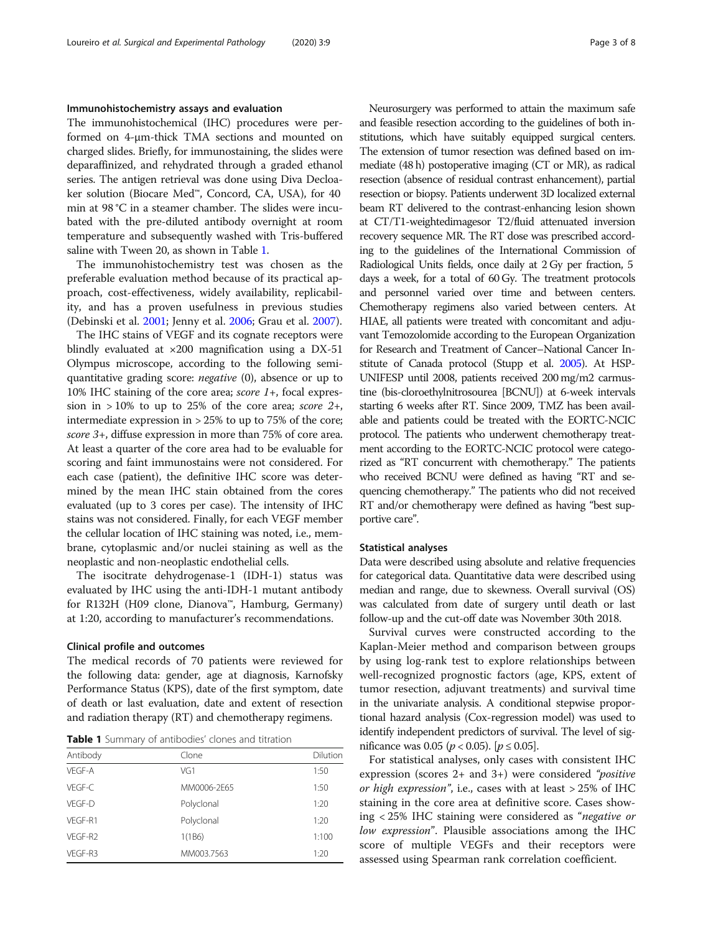# Immunohistochemistry assays and evaluation

The immunohistochemical (IHC) procedures were performed on 4-μm-thick TMA sections and mounted on charged slides. Briefly, for immunostaining, the slides were deparaffinized, and rehydrated through a graded ethanol series. The antigen retrieval was done using Diva Decloaker solution (Biocare Med™, Concord, CA, USA), for 40 min at 98 °C in a steamer chamber. The slides were incubated with the pre-diluted antibody overnight at room temperature and subsequently washed with Tris-buffered saline with Tween 20, as shown in Table 1.

The immunohistochemistry test was chosen as the preferable evaluation method because of its practical approach, cost-effectiveness, widely availability, replicability, and has a proven usefulness in previous studies (Debinski et al. [2001;](#page-7-0) Jenny et al. [2006;](#page-7-0) Grau et al. [2007\)](#page-7-0).

The IHC stains of VEGF and its cognate receptors were blindly evaluated at  $\times 200$  magnification using a DX-51 Olympus microscope, according to the following semiquantitative grading score: negative (0), absence or up to 10% IHC staining of the core area; *score 1*+, focal expression in  $>10\%$  to up to 25% of the core area; score 2+, intermediate expression in > 25% to up to 75% of the core; score 3+, diffuse expression in more than 75% of core area. At least a quarter of the core area had to be evaluable for scoring and faint immunostains were not considered. For each case (patient), the definitive IHC score was determined by the mean IHC stain obtained from the cores evaluated (up to 3 cores per case). The intensity of IHC stains was not considered. Finally, for each VEGF member the cellular location of IHC staining was noted, i.e., membrane, cytoplasmic and/or nuclei staining as well as the neoplastic and non-neoplastic endothelial cells.

The isocitrate dehydrogenase-1 (IDH-1) status was evaluated by IHC using the anti-IDH-1 mutant antibody for R132H (H09 clone, Dianova™, Hamburg, Germany) at 1:20, according to manufacturer's recommendations.

# Clinical profile and outcomes

The medical records of 70 patients were reviewed for the following data: gender, age at diagnosis, Karnofsky Performance Status (KPS), date of the first symptom, date of death or last evaluation, date and extent of resection and radiation therapy (RT) and chemotherapy regimens.

Table 1 Summary of antibodies' clones and titration

| Antibody | Clone       | Dilution |
|----------|-------------|----------|
| VFGF-A   | VG1         | 1:50     |
| VFGF-C   | MM0006-2E65 | 1:50     |
| VFGF-D   | Polyclonal  | 1:20     |
| VFGF-R1  | Polyclonal  | 1:20     |
| VFGF-R2  | 1(1B6)      | 1:100    |
| VEGF-R3  | MM003.7563  | 1:20     |
|          |             |          |

Neurosurgery was performed to attain the maximum safe and feasible resection according to the guidelines of both institutions, which have suitably equipped surgical centers. The extension of tumor resection was defined based on immediate (48 h) postoperative imaging (CT or MR), as radical resection (absence of residual contrast enhancement), partial resection or biopsy. Patients underwent 3D localized external beam RT delivered to the contrast-enhancing lesion shown at CT/T1-weightedimagesor T2/fluid attenuated inversion recovery sequence MR. The RT dose was prescribed according to the guidelines of the International Commission of Radiological Units fields, once daily at 2 Gy per fraction, 5 days a week, for a total of 60 Gy. The treatment protocols and personnel varied over time and between centers. Chemotherapy regimens also varied between centers. At HIAE, all patients were treated with concomitant and adjuvant Temozolomide according to the European Organization for Research and Treatment of Cancer–National Cancer Institute of Canada protocol (Stupp et al. [2005\)](#page-7-0). At HSP-UNIFESP until 2008, patients received 200 mg/m2 carmustine (bis-cloroethylnitrosourea [BCNU]) at 6-week intervals starting 6 weeks after RT. Since 2009, TMZ has been available and patients could be treated with the EORTC-NCIC protocol. The patients who underwent chemotherapy treatment according to the EORTC-NCIC protocol were categorized as "RT concurrent with chemotherapy." The patients who received BCNU were defined as having "RT and sequencing chemotherapy." The patients who did not received RT and/or chemotherapy were defined as having "best supportive care".

# Statistical analyses

Data were described using absolute and relative frequencies for categorical data. Quantitative data were described using median and range, due to skewness. Overall survival (OS) was calculated from date of surgery until death or last follow-up and the cut-off date was November 30th 2018.

Survival curves were constructed according to the Kaplan-Meier method and comparison between groups by using log-rank test to explore relationships between well-recognized prognostic factors (age, KPS, extent of tumor resection, adjuvant treatments) and survival time in the univariate analysis. A conditional stepwise proportional hazard analysis (Cox-regression model) was used to identify independent predictors of survival. The level of significance was 0.05 ( $p < 0.05$ ). [ $p \le 0.05$ ].

For statistical analyses, only cases with consistent IHC expression (scores  $2+$  and  $3+$ ) were considered "*positive* or high expression", i.e., cases with at least  $>$  25% of IHC staining in the core area at definitive score. Cases showing < 25% IHC staining were considered as "negative or low expression". Plausible associations among the IHC score of multiple VEGFs and their receptors were assessed using Spearman rank correlation coefficient.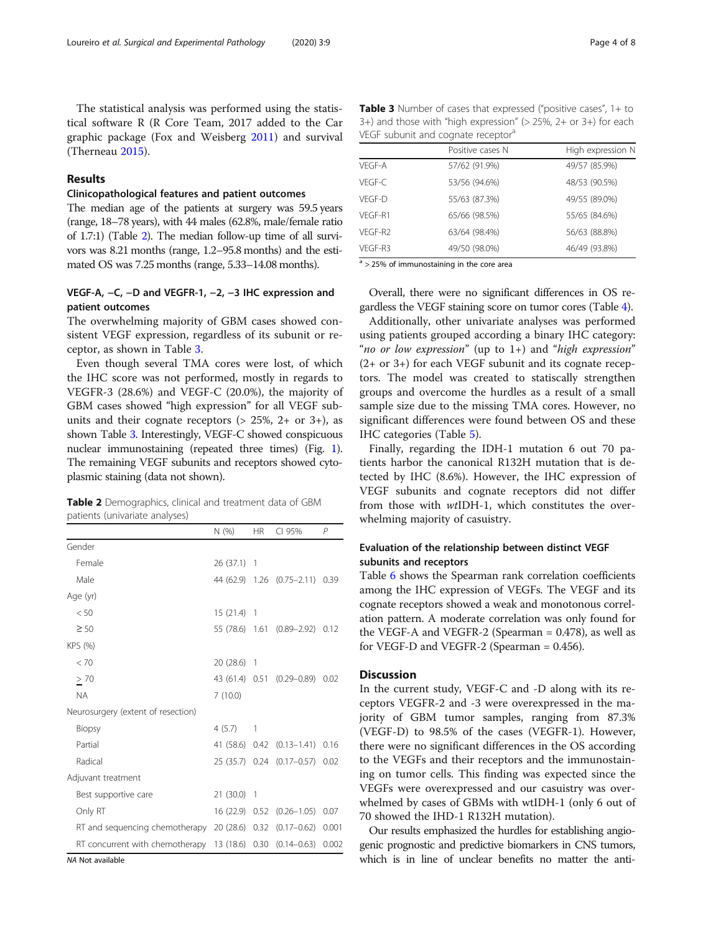The statistical analysis was performed using the statistical software R (R Core Team, 2017 added to the Car graphic package (Fox and Weisberg [2011](#page-7-0)) and survival (Therneau [2015\)](#page-7-0).

# Results

# Clinicopathological features and patient outcomes

The median age of the patients at surgery was 59.5 years (range, 18–78 years), with 44 males (62.8%, male/female ratio of 1.7:1) (Table 2). The median follow-up time of all survivors was 8.21 months (range, 1.2–95.8 months) and the estimated OS was 7.25 months (range, 5.33–14.08 months).

# VEGF-A, −C, −D and VEGFR-1, −2, −3 IHC expression and patient outcomes

The overwhelming majority of GBM cases showed consistent VEGF expression, regardless of its subunit or receptor, as shown in Table 3.

Even though several TMA cores were lost, of which the IHC score was not performed, mostly in regards to VEGFR-3 (28.6%) and VEGF-C (20.0%), the majority of GBM cases showed "high expression" for all VEGF subunits and their cognate receptors  $(> 25\%, 2+$  or 3+), as shown Table 3. Interestingly, VEGF-C showed conspicuous nuclear immunostaining (repeated three times) (Fig. [1](#page-4-0)). The remaining VEGF subunits and receptors showed cytoplasmic staining (data not shown).

| <b>Table 2</b> Demographics, clinical and treatment data of GBM |  |  |  |  |
|-----------------------------------------------------------------|--|--|--|--|
| patients (univariate analyses)                                  |  |  |  |  |

|                                                                  | N(% )          | <b>HR</b>      | CI 95%                          | $\mathsf{P}$ |
|------------------------------------------------------------------|----------------|----------------|---------------------------------|--------------|
| Gender                                                           |                |                |                                 |              |
| Female                                                           | $26(37.1)$ 1   |                |                                 |              |
| Male                                                             |                |                | 44 (62.9) 1.26 (0.75-2.11) 0.39 |              |
| Age (yr)                                                         |                |                |                                 |              |
| < 50                                                             | 15(21.4)       | $\overline{1}$ |                                 |              |
| $\geq 50$                                                        |                |                | 55 (78.6) 1.61 (0.89-2.92) 0.12 |              |
| KPS (%)                                                          |                |                |                                 |              |
| < 70                                                             | 20 (28.6) 1    |                |                                 |              |
| $\geq 70$                                                        |                |                | 43 (61.4) 0.51 (0.29-0.89) 0.02 |              |
| <b>NA</b>                                                        | 7(10.0)        |                |                                 |              |
| Neurosurgery (extent of resection)                               |                |                |                                 |              |
| <b>Biopsy</b>                                                    | 4(5.7)         | 1              |                                 |              |
| Partial                                                          |                |                | 41 (58.6) 0.42 (0.13–1.41)      | 0.16         |
| Radical                                                          |                |                | 25 (35.7) 0.24 (0.17-0.57) 0.02 |              |
| Adjuvant treatment                                               |                |                |                                 |              |
| Best supportive care                                             | 21(30.0)       | -1             |                                 |              |
| Only RT                                                          |                |                | 16 (22.9) 0.52 (0.26-1.05)      | 0.07         |
| RT and sequencing chemotherapy                                   | 20 (28.6) 0.32 |                | $(0.17 - 0.62)$                 | 0.001        |
| RT concurrent with chemotherapy 13 (18.6) 0.30 (0.14-0.63) 0.002 |                |                |                                 |              |

NA Not available

Table 3 Number of cases that expressed ("positive cases", 1+ to  $3+$ ) and those with "high expression" (> 25%, 2+ or  $3+$ ) for each VEGF subunit and cognate receptor<sup>a</sup>

|         | Positive cases N | High expression N |
|---------|------------------|-------------------|
| VEGF-A  | 57/62 (91.9%)    | 49/57 (85.9%)     |
| VFGF-C  | 53/56 (94.6%)    | 48/53 (90.5%)     |
| VFGF-D  | 55/63 (87.3%)    | 49/55 (89.0%)     |
| VFGF-R1 | 65/66 (98.5%)    | 55/65 (84.6%)     |
| VFGF-R2 | 63/64 (98.4%)    | 56/63 (88.8%)     |
| VFGF-R3 | 49/50 (98.0%)    | 46/49 (93.8%)     |

 $a$  > 25% of immunostaining in the core area

Overall, there were no significant differences in OS regardless the VEGF staining score on tumor cores (Table [4](#page-4-0)).

Additionally, other univariate analyses was performed using patients grouped according a binary IHC category: "no or low expression" (up to  $1+$ ) and "high expression" (2+ or 3+) for each VEGF subunit and its cognate receptors. The model was created to statiscally strengthen groups and overcome the hurdles as a result of a small sample size due to the missing TMA cores. However, no significant differences were found between OS and these IHC categories (Table [5\)](#page-5-0).

Finally, regarding the IDH-1 mutation 6 out 70 patients harbor the canonical R132H mutation that is detected by IHC (8.6%). However, the IHC expression of VEGF subunits and cognate receptors did not differ from those with wtIDH-1, which constitutes the overwhelming majority of casuistry.

# Evaluation of the relationship between distinct VEGF subunits and receptors

Table [6](#page-5-0) shows the Spearman rank correlation coefficients among the IHC expression of VEGFs. The VEGF and its cognate receptors showed a weak and monotonous correlation pattern. A moderate correlation was only found for the VEGF-A and VEGFR-2 (Spearman  $= 0.478$ ), as well as for VEGF-D and VEGFR-2 (Spearman = 0.456).

# **Discussion**

In the current study, VEGF-C and -D along with its receptors VEGFR-2 and -3 were overexpressed in the majority of GBM tumor samples, ranging from 87.3% (VEGF-D) to 98.5% of the cases (VEGFR-1). However, there were no significant differences in the OS according to the VEGFs and their receptors and the immunostaining on tumor cells. This finding was expected since the VEGFs were overexpressed and our casuistry was overwhelmed by cases of GBMs with wtIDH-1 (only 6 out of 70 showed the IHD-1 R132H mutation).

Our results emphasized the hurdles for establishing angiogenic prognostic and predictive biomarkers in CNS tumors, which is in line of unclear benefits no matter the anti-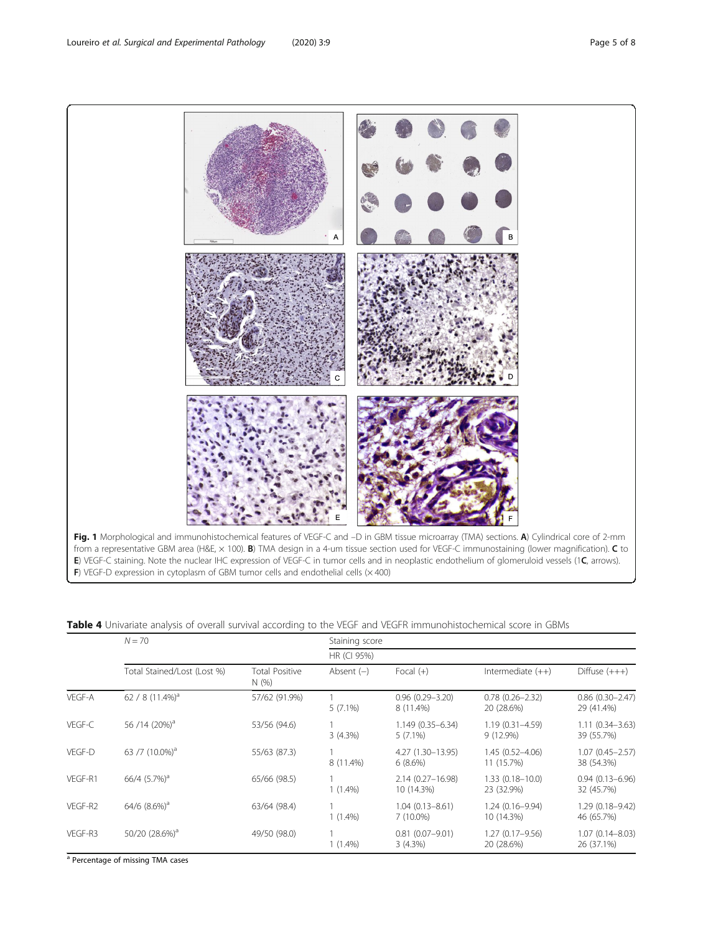<span id="page-4-0"></span>

| Table 4 Univariate analysis of overall survival according to the VEGF and VEGFR immunohistochemical score in GBMs |
|-------------------------------------------------------------------------------------------------------------------|
|-------------------------------------------------------------------------------------------------------------------|

|         | $N = 70$                       |                               | Staining score |                                    |                                   |                                      |  |  |  |
|---------|--------------------------------|-------------------------------|----------------|------------------------------------|-----------------------------------|--------------------------------------|--|--|--|
|         |                                |                               |                |                                    | HR (CI 95%)                       |                                      |  |  |  |
|         | Total Stained/Lost (Lost %)    | <b>Total Positive</b><br>N(%) | Absent $(-)$   | Focal $(+)$                        | Intermediate $(++)$               | Diffuse $(+++)$                      |  |  |  |
| VEGF-A  | 62 / 8 $(11.4\%)$ <sup>a</sup> | 57/62 (91.9%)                 | $5(7.1\%)$     | $0.96(0.29 - 3.20)$<br>8 (11.4%)   | $0.78(0.26 - 2.32)$<br>20 (28.6%) | $0.86$ $(0.30 - 2.47)$<br>29 (41.4%) |  |  |  |
| VEGF-C  | 56/14 (20%) <sup>a</sup>       | 53/56 (94.6)                  | $3(4.3\%)$     | 1.149 (0.35-6.34)<br>$5(7.1\%)$    | $1.19(0.31 - 4.59)$<br>9 (12.9%)  | $1.11(0.34 - 3.63)$<br>39 (55.7%)    |  |  |  |
| VEGF-D  | 63 /7 (10.0%) <sup>a</sup>     | 55/63 (87.3)                  | 8 (11.4%)      | 4.27 (1.30-13.95)<br>6(8.6%)       | $1.45(0.52 - 4.06)$<br>11 (15.7%) | $1.07(0.45 - 2.57)$<br>38 (54.3%)    |  |  |  |
| VEGF-R1 | $66/4$ $(5.7%)^a$              | 65/66 (98.5)                  | $1(1.4\%)$     | $2.14(0.27 - 16.98)$<br>10 (14.3%) | $1.33(0.18 - 10.0)$<br>23 (32.9%) | $0.94(0.13 - 6.96)$<br>32 (45.7%)    |  |  |  |
| VEGF-R2 | $64/6$ $(8.6\%)$ <sup>a</sup>  | 63/64 (98.4)                  | $1(1.4\%)$     | $1.04(0.13 - 8.61)$<br>$7(10.0\%)$ | $1.24(0.16 - 9.94)$<br>10 (14.3%) | $1.29(0.18 - 9.42)$<br>46 (65.7%)    |  |  |  |
| VEGF-R3 | 50/20 (28.6%) <sup>a</sup>     | 49/50 (98.0)                  | $1(1.4\%)$     | $0.81(0.07 - 9.01)$<br>3(4.3%)     | $1.27(0.17 - 9.56)$<br>20 (28.6%) | $1.07(0.14 - 8.03)$<br>26 (37.1%)    |  |  |  |

<sup>a</sup> Percentage of missing TMA cases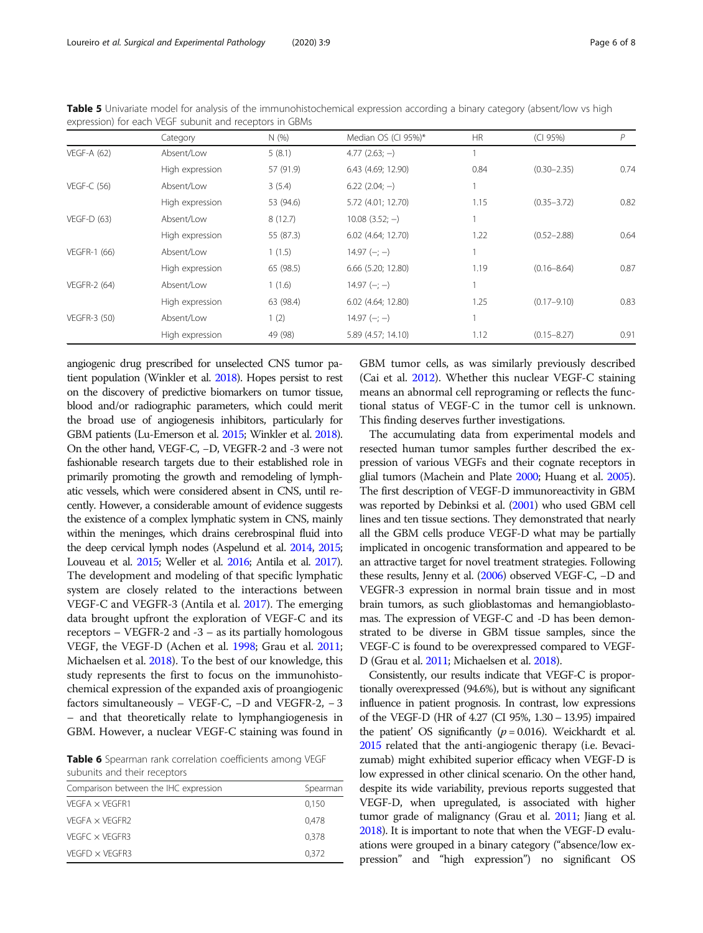|                     | Category        | N(% )     | Median OS (CI 95%)* | <b>HR</b> | (CI 95%)        | P    |
|---------------------|-----------------|-----------|---------------------|-----------|-----------------|------|
| <b>VEGF-A (62)</b>  | Absent/Low      | 5(8.1)    | $4.77(2.63; -)$     |           |                 |      |
|                     | High expression | 57 (91.9) | 6.43 (4.69; 12.90)  | 0.84      | $(0.30 - 2.35)$ | 0.74 |
| $VEGF-C(56)$        | Absent/Low      | 3(5.4)    | $6.22$ (2.04; -)    |           |                 |      |
|                     | High expression | 53 (94.6) | 5.72 (4.01; 12.70)  | 1.15      | $(0.35 - 3.72)$ | 0.82 |
| $VEGF-D(63)$        | Absent/Low      | 8(12.7)   | $10.08$ $(3.52; -)$ |           |                 |      |
|                     | High expression | 55 (87.3) | 6.02 (4.64; 12.70)  | 1.22      | $(0.52 - 2.88)$ | 0.64 |
| <b>VEGFR-1 (66)</b> | Absent/Low      | 1(1.5)    | $14.97 (-; -)$      |           |                 |      |
|                     | High expression | 65 (98.5) | 6.66 (5.20; 12.80)  | 1.19      | $(0.16 - 8.64)$ | 0.87 |
| <b>VEGFR-2 (64)</b> | Absent/Low      | 1(1.6)    | $14.97 (-; -)$      |           |                 |      |
|                     | High expression | 63 (98.4) | 6.02 (4.64; 12.80)  | 1.25      | $(0.17 - 9.10)$ | 0.83 |
| <b>VEGFR-3 (50)</b> | Absent/Low      | 1(2)      | $14.97 (-; -)$      |           |                 |      |
|                     | High expression | 49 (98)   | 5.89 (4.57; 14.10)  | 1.12      | $(0.15 - 8.27)$ | 0.91 |

<span id="page-5-0"></span>Table 5 Univariate model for analysis of the immunohistochemical expression according a binary category (absent/low vs high expression) for each VEGF subunit and receptors in GBMs

angiogenic drug prescribed for unselected CNS tumor patient population (Winkler et al. [2018\)](#page-7-0). Hopes persist to rest on the discovery of predictive biomarkers on tumor tissue, blood and/or radiographic parameters, which could merit the broad use of angiogenesis inhibitors, particularly for GBM patients (Lu-Emerson et al. [2015;](#page-7-0) Winkler et al. [2018\)](#page-7-0). On the other hand, VEGF-C, −D, VEGFR-2 and -3 were not fashionable research targets due to their established role in primarily promoting the growth and remodeling of lymphatic vessels, which were considered absent in CNS, until recently. However, a considerable amount of evidence suggests the existence of a complex lymphatic system in CNS, mainly within the meninges, which drains cerebrospinal fluid into the deep cervical lymph nodes (Aspelund et al. [2014](#page-7-0), [2015](#page-7-0); Louveau et al. [2015](#page-7-0); Weller et al. [2016](#page-7-0); Antila et al. [2017\)](#page-6-0). The development and modeling of that specific lymphatic system are closely related to the interactions between VEGF-C and VEGFR-3 (Antila et al. [2017\)](#page-6-0). The emerging data brought upfront the exploration of VEGF-C and its receptors – VEGFR-2 and -3 – as its partially homologous VEGF, the VEGF-D (Achen et al. [1998](#page-6-0); Grau et al. [2011](#page-7-0); Michaelsen et al. [2018\)](#page-7-0). To the best of our knowledge, this study represents the first to focus on the immunohistochemical expression of the expanded axis of proangiogenic factors simultaneously – VEGF-C, −D and VEGFR-2, − 3 – and that theoretically relate to lymphangiogenesis in GBM. However, a nuclear VEGF-C staining was found in

Table 6 Spearman rank correlation coefficients among VEGF subunits and their receptors

| Comparison between the IHC expression | Spearman |
|---------------------------------------|----------|
| $VFGFA \times VFGFR1$                 | 0.150    |
| $VFGFA \times VFGFR2$                 | 0.478    |
| VEGEC $\times$ VEGER3                 | 0.378    |
| $VFGFD \times VFGFR3$                 | 0.372    |

GBM tumor cells, as was similarly previously described (Cai et al. [2012](#page-7-0)). Whether this nuclear VEGF-C staining means an abnormal cell reprograming or reflects the functional status of VEGF-C in the tumor cell is unknown. This finding deserves further investigations.

The accumulating data from experimental models and resected human tumor samples further described the expression of various VEGFs and their cognate receptors in glial tumors (Machein and Plate [2000](#page-7-0); Huang et al. [2005](#page-7-0)). The first description of VEGF-D immunoreactivity in GBM was reported by Debinksi et al. [\(2001](#page-7-0)) who used GBM cell lines and ten tissue sections. They demonstrated that nearly all the GBM cells produce VEGF-D what may be partially implicated in oncogenic transformation and appeared to be an attractive target for novel treatment strategies. Following these results, Jenny et al. [\(2006](#page-7-0)) observed VEGF-C, −D and VEGFR-3 expression in normal brain tissue and in most brain tumors, as such glioblastomas and hemangioblastomas. The expression of VEGF-C and -D has been demonstrated to be diverse in GBM tissue samples, since the VEGF-C is found to be overexpressed compared to VEGF-D (Grau et al. [2011;](#page-7-0) Michaelsen et al. [2018](#page-7-0)).

Consistently, our results indicate that VEGF-C is proportionally overexpressed (94.6%), but is without any significant influence in patient prognosis. In contrast, low expressions of the VEGF-D (HR of 4.27 (CI 95%, 1.30 – 13.95) impaired the patient' OS significantly  $(p = 0.016)$ . Weickhardt et al. [2015](#page-7-0) related that the anti-angiogenic therapy (i.e. Bevacizumab) might exhibited superior efficacy when VEGF-D is low expressed in other clinical scenario. On the other hand, despite its wide variability, previous reports suggested that VEGF-D, when upregulated, is associated with higher tumor grade of malignancy (Grau et al. [2011](#page-7-0); Jiang et al. [2018\)](#page-7-0). It is important to note that when the VEGF-D evaluations were grouped in a binary category ("absence/low expression" and "high expression") no significant OS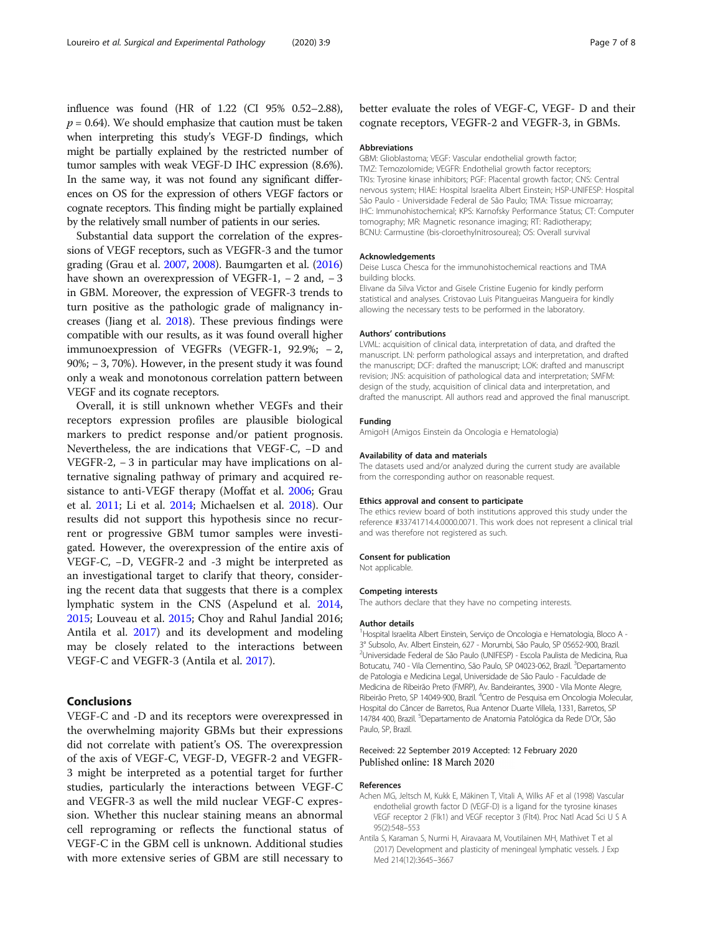<span id="page-6-0"></span>influence was found (HR of 1.22 (CI 95% 0.52–2.88),  $p = 0.64$ ). We should emphasize that caution must be taken when interpreting this study's VEGF-D findings, which might be partially explained by the restricted number of tumor samples with weak VEGF-D IHC expression (8.6%). In the same way, it was not found any significant differences on OS for the expression of others VEGF factors or cognate receptors. This finding might be partially explained by the relatively small number of patients in our series.

Substantial data support the correlation of the expressions of VEGF receptors, such as VEGFR-3 and the tumor grading (Grau et al. [2007](#page-7-0), [2008\)](#page-7-0). Baumgarten et al. [\(2016](#page-7-0)) have shown an overexpression of VEGFR-1, − 2 and, − 3 in GBM. Moreover, the expression of VEGFR-3 trends to turn positive as the pathologic grade of malignancy increases (Jiang et al. [2018\)](#page-7-0). These previous findings were compatible with our results, as it was found overall higher immunoexpression of VEGFRs (VEGFR-1, 92.9%; − 2, 90%; − 3, 70%). However, in the present study it was found only a weak and monotonous correlation pattern between VEGF and its cognate receptors.

Overall, it is still unknown whether VEGFs and their receptors expression profiles are plausible biological markers to predict response and/or patient prognosis. Nevertheless, the are indications that VEGF-C, −D and VEGFR-2, − 3 in particular may have implications on alternative signaling pathway of primary and acquired resistance to anti-VEGF therapy (Moffat et al. [2006](#page-7-0); Grau et al. [2011](#page-7-0); Li et al. [2014;](#page-7-0) Michaelsen et al. [2018\)](#page-7-0). Our results did not support this hypothesis since no recurrent or progressive GBM tumor samples were investigated. However, the overexpression of the entire axis of VEGF-C, −D, VEGFR-2 and -3 might be interpreted as an investigational target to clarify that theory, considering the recent data that suggests that there is a complex lymphatic system in the CNS (Aspelund et al. [2014](#page-7-0), [2015](#page-7-0); Louveau et al. [2015](#page-7-0); Choy and Rahul Jandial 2016; Antila et al. 2017) and its development and modeling may be closely related to the interactions between VEGF-C and VEGFR-3 (Antila et al. 2017).

# Conclusions

VEGF-C and -D and its receptors were overexpressed in the overwhelming majority GBMs but their expressions did not correlate with patient's OS. The overexpression of the axis of VEGF-C, VEGF-D, VEGFR-2 and VEGFR-3 might be interpreted as a potential target for further studies, particularly the interactions between VEGF-C and VEGFR-3 as well the mild nuclear VEGF-C expression. Whether this nuclear staining means an abnormal cell reprograming or reflects the functional status of VEGF-C in the GBM cell is unknown. Additional studies with more extensive series of GBM are still necessary to

# better evaluate the roles of VEGF-C, VEGF- D and their cognate receptors, VEGFR-2 and VEGFR-3, in GBMs.

#### Abbreviations

GBM: Glioblastoma; VEGF: Vascular endothelial growth factor; TMZ: Temozolomide; VEGFR: Endothelial growth factor receptors; TKIs: Tyrosine kinase inhibitors; PGF: Placental growth factor; CNS: Central nervous system; HIAE: Hospital Israelita Albert Einstein; HSP-UNIFESP: Hospital São Paulo - Universidade Federal de São Paulo; TMA: Tissue microarray; IHC: Immunohistochemical; KPS: Karnofsky Performance Status; CT: Computer tomography; MR: Magnetic resonance imaging; RT: Radiotherapy; BCNU: Carmustine (bis-cloroethylnitrosourea); OS: Overall survival

#### Acknowledgements

Deise Lusca Chesca for the immunohistochemical reactions and TMA building blocks.

Elivane da Silva Victor and Gisele Cristine Eugenio for kindly perform statistical and analyses. Cristovao Luis Pitangueiras Mangueira for kindly allowing the necessary tests to be performed in the laboratory.

#### Authors' contributions

LVML: acquisition of clinical data, interpretation of data, and drafted the manuscript. LN: perform pathological assays and interpretation, and drafted the manuscript; DCF: drafted the manuscript; LOK: drafted and manuscript revision; JNS: acquisition of pathological data and interpretation; SMFM: design of the study, acquisition of clinical data and interpretation, and drafted the manuscript. All authors read and approved the final manuscript.

### Funding

AmigoH (Amigos Einstein da Oncologia e Hematologia)

#### Availability of data and materials

The datasets used and/or analyzed during the current study are available from the corresponding author on reasonable request.

#### Ethics approval and consent to participate

The ethics review board of both institutions approved this study under the reference #33741714.4.0000.0071. This work does not represent a clinical trial and was therefore not registered as such.

#### Consent for publication

Not applicable.

#### Competing interests

The authors declare that they have no competing interests.

#### Author details

<sup>1</sup> Hospital Israelita Albert Einstein, Serviço de Oncologia e Hematologia, Bloco A -3° Subsolo, Av. Albert Einstein, 627 - Morumbi, São Paulo, SP 05652-900, Brazil. 2 Universidade Federal de São Paulo (UNIFESP) - Escola Paulista de Medicina, Rua Botucatu, 740 - Vila Clementino, São Paulo, SP 04023-062, Brazil. <sup>3</sup>Departamento de Patologia e Medicina Legal, Universidade de São Paulo - Faculdade de Medicina de Ribeirão Preto (FMRP), Av. Bandeirantes, 3900 - Vila Monte Alegre, Ribeirão Preto, SP 14049-900, Brazil. <sup>4</sup>Centro de Pesquisa em Oncologia Molecular, Hospital do Câncer de Barretos, Rua Antenor Duarte Villela, 1331, Barretos, SP 14784 400, Brazil. <sup>5</sup>Departamento de Anatomia Patológica da Rede D'Or, São Paulo, SP, Brazil.

# Received: 22 September 2019 Accepted: 12 February 2020 Published online: 18 March 2020

#### References

- Achen MG, Jeltsch M, Kukk E, Mäkinen T, Vitali A, Wilks AF et al (1998) Vascular endothelial growth factor D (VEGF-D) is a ligand for the tyrosine kinases VEGF receptor 2 (Flk1) and VEGF receptor 3 (Flt4). Proc Natl Acad Sci U S A 95(2):548–553
- Antila S, Karaman S, Nurmi H, Airavaara M, Voutilainen MH, Mathivet T et al (2017) Development and plasticity of meningeal lymphatic vessels. J Exp Med 214(12):3645–3667